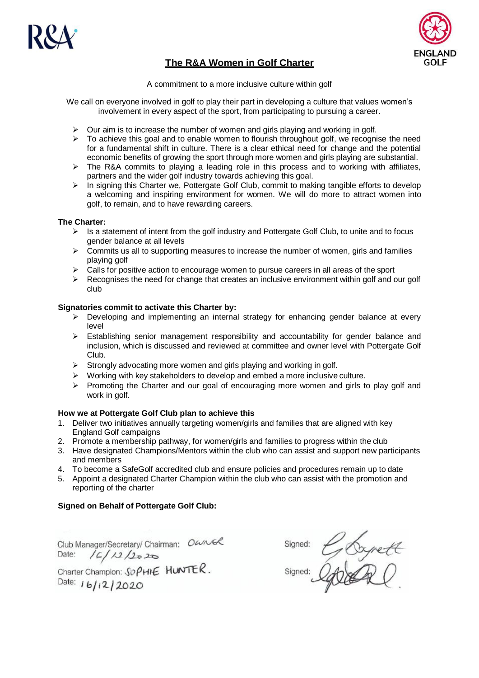

# **The R&A Women in Golf Charter**

**GOLF** 

A commitment to a more inclusive culture within golf

We call on everyone involved in golf to play their part in developing a culture that values women's involvement in every aspect of the sport, from participating to pursuing a career.

- $\triangleright$  Our aim is to increase the number of women and girls playing and working in golf.
- $\triangleright$  To achieve this goal and to enable women to flourish throughout golf, we recognise the need for a fundamental shift in culture. There is a clear ethical need for change and the potential economic benefits of growing the sport through more women and girls playing are substantial.
- $\triangleright$  The R&A commits to playing a leading role in this process and to working with affiliates, partners and the wider golf industry towards achieving this goal.
- $\triangleright$  In signing this Charter we, Pottergate Golf Club, commit to making tangible efforts to develop a welcoming and inspiring environment for women. We will do more to attract women into golf, to remain, and to have rewarding careers.

### **The Charter:**

- $\triangleright$  Is a statement of intent from the golf industry and Pottergate Golf Club, to unite and to focus gender balance at all levels
- $\triangleright$  Commits us all to supporting measures to increase the number of women, girls and families playing golf
- $\triangleright$  Calls for positive action to encourage women to pursue careers in all areas of the sport
- $\triangleright$  Recognises the need for change that creates an inclusive environment within golf and our golf club

### **Signatories commit to activate this Charter by:**

- $\triangleright$  Developing and implementing an internal strategy for enhancing gender balance at every level
- $\triangleright$  Establishing senior management responsibility and accountability for gender balance and inclusion, which is discussed and reviewed at committee and owner level with Pottergate Golf Club.
- $\triangleright$  Strongly advocating more women and girls playing and working in golf.
- $\triangleright$  Working with key stakeholders to develop and embed a more inclusive culture.
- $\triangleright$  Promoting the Charter and our goal of encouraging more women and girls to play golf and work in golf.

#### **How we at Pottergate Golf Club plan to achieve this**

- 1. Deliver two initiatives annually targeting women/girls and families that are aligned with key England Golf campaigns
- 2. Promote a membership pathway, for women/girls and families to progress within the club
- 3. Have designated Champions/Mentors within the club who can assist and support new participants and members
- 4. To become a SafeGolf accredited club and ensure policies and procedures remain up to date
- 5. Appoint a designated Charter Champion within the club who can assist with the promotion and reporting of the charter

## **Signed on Behalf of Pottergate Golf Club:**

Club Manager/Secretary/Chairman: OWNER<br>Date: /C/12/2020<br>Charter Champion: SOPHIE HUNTER.

Date:  $16/12/2020$ 

Sianed: Signed: